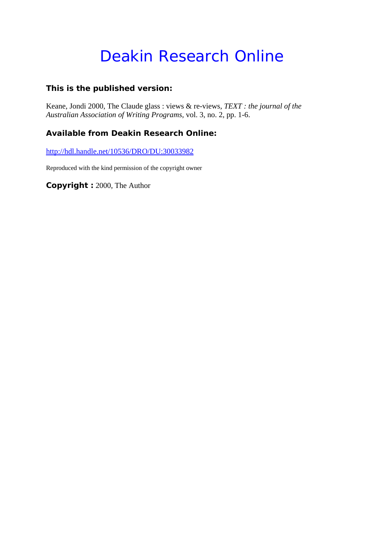# Deakin Research Online

# **This is the published version:**

Keane, Jondi 2000, The Claude glass : views & re-views*, TEXT : the journal of the Australian Association of Writing Programs*, vol. 3, no. 2, pp. 1-6.

# **Available from Deakin Research Online:**

http://hdl.handle.net/10536/DRO/DU:30033982

Reproduced with the kind permission of the copyright owner

**Copyright :** 2000, The Author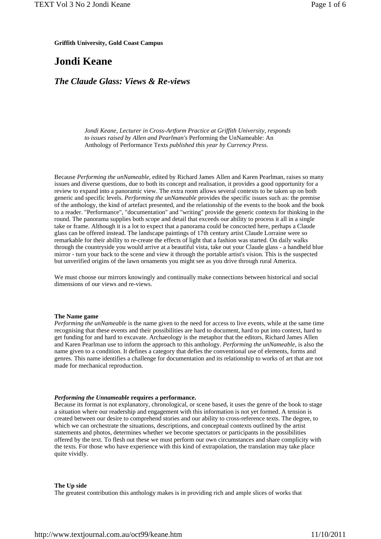**Griffith University, Gold Coast Campus**

# **Jondi Keane**

### *The Claude Glass: Views & Re-views*

*Jondi Keane, Lecturer in Cross-Artform Practice at Griffith University, responds to issues raised by Allen and Pearlman's* Performing the UnNameable: An Anthology of Performance Texts *published this year by Currency Press.*

Because *Performing the unNameable*, edited by Richard James Allen and Karen Pearlman, raises so many issues and diverse questions, due to both its concept and realisation, it provides a good opportunity for a review to expand into a panoramic view. The extra room allows several contexts to be taken up on both generic and specific levels. *Performing the unNameable* provides the specific issues such as: the premise of the anthology, the kind of artefact presented, and the relationship of the events to the book and the book to a reader. "Performance", "documentation" and "writing" provide the generic contexts for thinking in the round. The panorama supplies both scope and detail that exceeds our ability to process it all in a single take or frame. Although it is a lot to expect that a panorama could be concocted here, perhaps a Claude glass can be offered instead. The landscape paintings of 17th century artist Claude Lorraine were so remarkable for their ability to re-create the effects of light that a fashion was started. On daily walks through the countryside you would arrive at a beautiful vista, take out your Claude glass - a handheld blue mirror - turn your back to the scene and view it through the portable artist's vision. This is the suspected but unverified origins of the lawn ornaments you might see as you drive through rural America.

We must choose our mirrors knowingly and continually make connections between historical and social dimensions of our views and re-views.

#### **The Name game**

*Performing the unNameable* is the name given to the need for access to live events, while at the same time recognising that these events and their possibilities are hard to document, hard to put into context, hard to get funding for and hard to excavate. Archaeology is the metaphor that the editors, Richard James Allen and Karen Pearlman use to inform the approach to this anthology. *Performing the unNameable*, is also the name given to a condition. It defines a category that defies the conventional use of elements, forms and genres. This name identifies a challenge for documentation and its relationship to works of art that are not made for mechanical reproduction.

#### *Performing the Unnameable* **requires a performance.**

Because its format is not explanatory, chronological, or scene based, it uses the genre of the book to stage a situation where our readership and engagement with this information is not yet formed. A tension is created between our desire to comprehend stories and our ability to cross-reference texts. The degree, to which we can orchestrate the situations, descriptions, and conceptual contexts outlined by the artist statements and photos, determines whether we become spectators or participants in the possibilities offered by the text. To flesh out these we must perform our own circumstances and share complicity with the texts. For those who have experience with this kind of extrapolation, the translation may take place quite vividly.

#### **The Up side**

The greatest contribution this anthology makes is in providing rich and ample slices of works that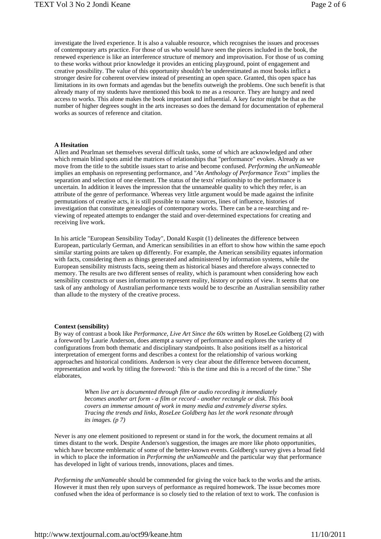investigate the lived experience. It is also a valuable resource, which recognises the issues and processes of contemporary arts practice. For those of us who would have seen the pieces included in the book, the renewed experience is like an interference structure of memory and improvisation. For those of us coming to these works without prior knowledge it provides an enticing playground, point of engagement and creative possibility. The value of this opportunity shouldn't be underestimated as most books inflict a stronger desire for coherent overview instead of presenting an open space. Granted, this open space has limitations in its own formats and agendas but the benefits outweigh the problems. One such benefit is that already many of my students have mentioned this book to me as a resource. They are hungry and need access to works. This alone makes the book important and influential. A key factor might be that as the number of higher degrees sought in the arts increases so does the demand for documentation of ephemeral works as sources of reference and citation.

#### **A Hesitation**

Allen and Pearlman set themselves several difficult tasks, some of which are acknowledged and other which remain blind spots amid the matrices of relationships that "performance" evokes. Already as we move from the title to the subtitle issues start to arise and become confused. *Performing the unNameable* implies an emphasis on representing performance, and "*An Anthology of Performance Texts*" implies the separation and selection of one element. The status of the texts' relationship to the performance is uncertain. In addition it leaves the impression that the unnameable quality to which they refer, is an attribute of the genre of performance. Whereas very little argument would be made against the infinite permutations of creative acts, it is still possible to name sources, lines of influence, histories of investigation that constitute genealogies of contemporary works. There can be a re-searching and reviewing of repeated attempts to endanger the staid and over-determined expectations for creating and receiving live work.

In his article "European Sensibility Today", Donald Kuspit (1) delineates the difference between European, particularly German, and American sensibilities in an effort to show how within the same epoch similar starting points are taken up differently. For example, the American sensibility equates information with facts, considering them as things generated and administered by information systems, while the European sensibility mistrusts facts, seeing them as historical biases and therefore always connected to memory. The results are two different senses of reality, which is paramount when considering how each sensibility constructs or uses information to represent reality, history or points of view. It seems that one task of any anthology of Australian performance texts would be to describe an Australian sensibility rather than allude to the mystery of the creative process.

#### **Context (sensibility)**

By way of contrast a book like *Performance, Live Art Since the 60s* written by RoseLee Goldberg (2) with a foreword by Laurie Anderson, does attempt a survey of performance and explores the variety of configurations from both thematic and disciplinary standpoints. It also positions itself as a historical interpretation of emergent forms and describes a context for the relationship of various working approaches and historical conditions. Anderson is very clear about the difference between document, representation and work by titling the foreword: "this is the time and this is a record of the time." She elaborates,

> *When live art is documented through film or audio recording it immediately becomes another art form - a film or record - another rectangle or disk. This book covers an immense amount of work in many media and extremely diverse styles. Tracing the trends and links, RoseLee Goldberg has let the work resonate through its images. (p 7)*

Never is any one element positioned to represent or stand in for the work, the document remains at all times distant to the work. Despite Anderson's suggestion, the images are more like photo opportunities, which have become emblematic of some of the better-known events. Goldberg's survey gives a broad field in which to place the information in *Performing the unNameable* and the particular way that performance has developed in light of various trends, innovations, places and times.

*Performing the unNameable* should be commended for giving the voice back to the works and the artists. However it must then rely upon surveys of performance as required homework. The issue becomes more confused when the idea of performance is so closely tied to the relation of text to work. The confusion is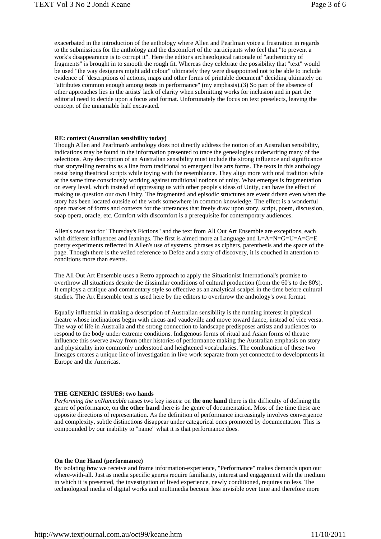exacerbated in the introduction of the anthology where Allen and Pearlman voice a frustration in regards to the submissions for the anthology and the discomfort of the participants who feel that "to prevent a work's disappearance is to corrupt it". Here the editor's archaeological rationale of "authenticity of fragments" is brought in to smooth the rough fit. Whereas they celebrate the possibility that "text" would be used "the way designers might add colour" ultimately they were disappointed not to be able to include evidence of "descriptions of actions, maps and other forms of printable document" deciding ultimately on "attributes common enough among **texts** in performance" (my emphasis).(3) So part of the absence of other approaches lies in the artists' lack of clarity when submitting works for inclusion and in part the editorial need to decide upon a focus and format. Unfortunately the focus on text preselects, leaving the concept of the unnamable half excavated.

#### **RE: context (Australian sensibility today)**

Though Allen and Pearlman's anthology does not directly address the notion of an Australian sensibility, indications may be found in the information presented to trace the genealogies underwriting many of the selections. Any description of an Australian sensibility must include the strong influence and significance that storytelling remains as a line from traditional to emergent live arts forms. The texts in this anthology resist being theatrical scripts while toying with the resemblance. They align more with oral tradition while at the same time consciously working against traditional notions of unity. What emerges is fragmentation on every level, which instead of oppressing us with other people's ideas of Unity, can have the effect of making us question our own Unity. The fragmented and episodic structures are event driven even when the story has been located outside of the work somewhere in common knowledge. The effect is a wonderful open market of forms and contexts for the utterances that freely draw upon story, script, poem, discussion, soap opera, oracle, etc. Comfort with discomfort is a prerequisite for contemporary audiences.

Allen's own text for "Thursday's Fictions" and the text from All Out Art Ensemble are exceptions, each with different influences and leanings. The first is aimed more at Language and  $L=A=N=G=U=A=G-E$ poetry experiments reflected in Allen's use of systems, phrases as ciphers, parenthesis and the space of the page. Though there is the veiled reference to Defoe and a story of discovery, it is couched in attention to conditions more than events.

The All Out Art Ensemble uses a Retro approach to apply the Situationist International's promise to overthrow all situations despite the dissimilar conditions of cultural production (from the 60's to the 80's). It employs a critique and commentary style so effective as an analytical scalpel in the time before cultural studies. The Art Ensemble text is used here by the editors to overthrow the anthology's own format.

Equally influential in making a description of Australian sensibility is the running interest in physical theatre whose inclinations begin with circus and vaudeville and move toward dance, instead of vice versa. The way of life in Australia and the strong connection to landscape predisposes artists and audiences to respond to the body under extreme conditions. Indigenous forms of ritual and Asian forms of theatre influence this swerve away from other histories of performance making the Australian emphasis on story and physicality into commonly understood and heightened vocabularies. The combination of these two lineages creates a unique line of investigation in live work separate from yet connected to developments in Europe and the Americas.

#### **THE GENERIC ISSUES: two hands**

*Performing the unNameable* raises two key issues: on **the one hand** there is the difficulty of defining the genre of performance, on **the other hand** there is the genre of documentation. Most of the time these are opposite directions of representation. As the definition of performance increasingly involves convergence and complexity, subtle distinctions disappear under categorical ones promoted by documentation. This is compounded by our inability to "name" what it is that performance does.

#### **On the One Hand (performance)**

By isolating *how* we receive and frame information-experience, "Performance" makes demands upon our where-with-all. Just as media specific genres require familiarity, interest and engagement with the medium in which it is presented, the investigation of lived experience, newly conditioned, requires no less. The technological media of digital works and multimedia become less invisible over time and therefore more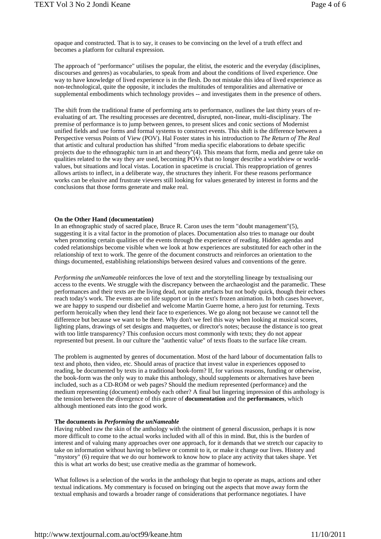opaque and constructed. That is to say, it ceases to be convincing on the level of a truth effect and becomes a platform for cultural expression.

The approach of "performance" utilises the popular, the elitist, the esoteric and the everyday (disciplines, discourses and genres) as vocabularies, to speak from and about the conditions of lived experience. One way to have knowledge of lived experience is in the flesh. Do not mistake this idea of lived experience as non-technological, quite the opposite, it includes the multitudes of temporalities and alternative or supplemental embodiments which technology provides -- and investigates them in the presence of others.

The shift from the traditional frame of performing arts to performance, outlines the last thirty years of reevaluating of art. The resulting processes are decentred, disrupted, non-linear, multi-disciplinary. The premise of performance is to jump between genres, to present slices and conic sections of Modernist unified fields and use forms and formal systems to construct events. This shift is the difference between a Perspective versus Points of View (POV). Hal Foster states in his introduction to *The Return of The Real* that artistic and cultural production has shifted "from media specific elaborations to debate specific projects due to the ethnographic turn in art and theory"(4). This means that form, media and genre take on qualities related to the way they are used, becoming POVs that no longer describe a worldview or worldvalues, but situations and local vistas. Location in spacetime is crucial. This reappropriation of genres allows artists to inflect, in a deliberate way, the structures they inherit. For these reasons performance works can be elusive and frustrate viewers still looking for values generated by interest in forms and the conclusions that those forms generate and make real.

#### **On the Other Hand (documentation)**

In an ethnographic study of sacred place, Bruce R. Caron uses the term "doubt management"(5), suggesting it is a vital factor in the promotion of places. Documentation also tries to manage our doubt when promoting certain qualities of the events through the experience of reading. Hidden agendas and coded relationships become visible when we look at how experiences are substituted for each other in the relationship of text to work. The genre of the document constructs and reinforces an orientation to the things documented, establishing relationships between desired values and conventions of the genre.

*Performing the unNameable* reinforces the love of text and the storytelling lineage by textualising our access to the events. We struggle with the discrepancy between the archaeologist and the paramedic. These performances and their texts are the living dead, not quite artefacts but not body quick, though their echoes reach today's work. The events are on life support or in the text's frozen animation. In both cases however, we are happy to suspend our disbelief and welcome Martin Guerre home, a hero just for returning. Texts perform heroically when they lend their face to experiences. We go along not because we cannot tell the difference but because we want to be there. Why don't we feel this way when looking at musical scores, lighting plans, drawings of set designs and maquettes, or director's notes; because the distance is too great with too little transparency? This confusion occurs most commonly with texts; they do not appear represented but present. In our culture the "authentic value" of texts floats to the surface like cream.

The problem is augmented by genres of documentation. Most of the hard labour of documentation falls to text and photo, then video, etc. Should areas of practice that invest value in experiences opposed to reading, be documented by texts in a traditional book-form? If, for various reasons, funding or otherwise, the book-form was the only way to make this anthology, should supplements or alternatives have been included, such as a CD-ROM or web pages? Should the medium represented (performance) and the medium representing (document) embody each other? A final but lingering impression of this anthology is the tension between the divergence of this genre of **documentation** and the **performances**, which although mentioned eats into the good work.

#### **The documents in** *Performing the unNameable*

Having rubbed raw the skin of the anthology with the ointment of general discussion, perhaps it is now more difficult to come to the actual works included with all of this in mind. But, this is the burden of interest and of valuing many approaches over one approach, for it demands that we stretch our capacity to take on information without having to believe or commit to it, or make it change our lives. History and "mystory" (6) require that we do our homework to know how to place any activity that takes shape. Yet this is what art works do best; use creative media as the grammar of homework.

What follows is a selection of the works in the anthology that begin to operate as maps, actions and other textual indications. My commentary is focused on bringing out the aspects that move away form the textual emphasis and towards a broader range of considerations that performance negotiates. I have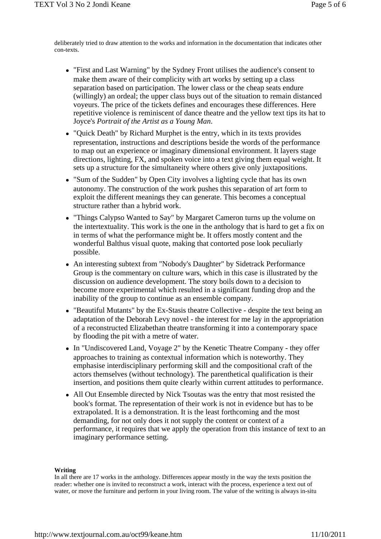deliberately tried to draw attention to the works and information in the documentation that indicates other con-texts.

- "First and Last Warning" by the Sydney Front utilises the audience's consent to make them aware of their complicity with art works by setting up a class separation based on participation. The lower class or the cheap seats endure (willingly) an ordeal; the upper class buys out of the situation to remain distanced voyeurs. The price of the tickets defines and encourages these differences. Here repetitive violence is reminiscent of dance theatre and the yellow text tips its hat to Joyce's *Portrait of the Artist as a Young Man*.
- "Quick Death" by Richard Murphet is the entry, which in its texts provides representation, instructions and descriptions beside the words of the performance to map out an experience or imaginary dimensional environment. It layers stage directions, lighting, FX, and spoken voice into a text giving them equal weight. It sets up a structure for the simultaneity where others give only juxtapositions.
- "Sum of the Sudden" by Open City involves a lighting cycle that has its own autonomy. The construction of the work pushes this separation of art form to exploit the different meanings they can generate. This becomes a conceptual structure rather than a hybrid work.
- "Things Calypso Wanted to Say" by Margaret Cameron turns up the volume on the intertextuality. This work is the one in the anthology that is hard to get a fix on in terms of what the performance might be. It offers mostly content and the wonderful Balthus visual quote, making that contorted pose look peculiarly possible.
- An interesting subtext from "Nobody's Daughter" by Sidetrack Performance Group is the commentary on culture wars, which in this case is illustrated by the discussion on audience development. The story boils down to a decision to become more experimental which resulted in a significant funding drop and the inability of the group to continue as an ensemble company.
- "Beautiful Mutants" by the Ex-Stasis theatre Collective despite the text being an adaptation of the Deborah Levy novel - the interest for me lay in the appropriation of a reconstructed Elizabethan theatre transforming it into a contemporary space by flooding the pit with a metre of water.
- In "Undiscovered Land, Voyage 2" by the Kenetic Theatre Company they offer approaches to training as contextual information which is noteworthy. They emphasise interdisciplinary performing skill and the compositional craft of the actors themselves (without technology). The parenthetical qualification is their insertion, and positions them quite clearly within current attitudes to performance.
- All Out Ensemble directed by Nick Tsoutas was the entry that most resisted the book's format. The representation of their work is not in evidence but has to be extrapolated. It is a demonstration. It is the least forthcoming and the most demanding, for not only does it not supply the content or context of a performance, it requires that we apply the operation from this instance of text to an imaginary performance setting.

#### **Writing**

In all there are 17 works in the anthology. Differences appear mostly in the way the texts position the reader: whether one is invited to reconstruct a work, interact with the process, experience a text out of water, or move the furniture and perform in your living room. The value of the writing is always in-situ